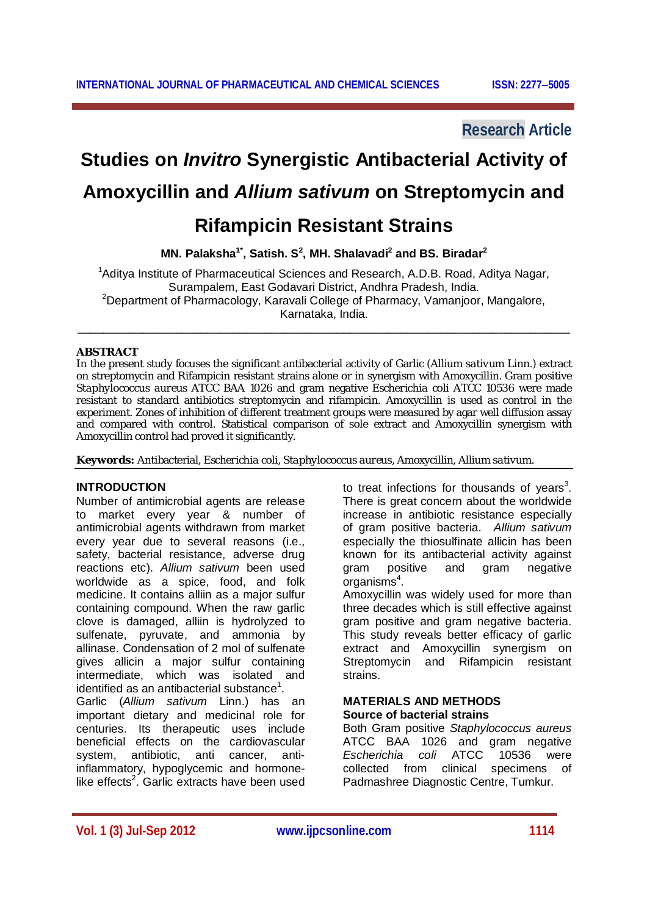## **Research Article**

# **Studies on** *Invitro* **Synergistic Antibacterial Activity of Amoxycillin and** *Allium sativum* **on Streptomycin and Rifampicin Resistant Strains**

**MN. Palaksha1\*, Satish. S<sup>2</sup> , MH. Shalavadi<sup>2</sup> and BS. Biradar<sup>2</sup>**

<sup>1</sup>Aditya Institute of Pharmaceutical Sciences and Research, A.D.B. Road, Aditya Nagar, Surampalem, East Godavari District, Andhra Pradesh, India. <sup>2</sup>Department of Pharmacology, Karavali College of Pharmacy, Vamanjoor, Mangalore, Karnataka, India.

\_\_\_\_\_\_\_\_\_\_\_\_\_\_\_\_\_\_\_\_\_\_\_\_\_\_\_\_\_\_\_\_\_\_\_\_\_\_\_\_\_\_\_\_\_\_\_\_\_\_\_\_\_\_\_\_\_\_\_\_\_\_\_\_\_\_\_\_\_\_\_\_\_\_\_\_

### **ABSTRACT**

In the present study focuses the significant antibacterial activity of Garlic (*Allium sativum* Linn.) extract on streptomycin and Rifampicin resistant strains alone or in synergism with Amoxycillin. Gram positive *Staphylococcus aureus* ATCC BAA 1026 and gram negative *Escherichia coli* ATCC 10536 were made resistant to standard antibiotics streptomycin and rifampicin. Amoxycillin is used as control in the experiment. Zones of inhibition of different treatment groups were measured by agar well diffusion assay and compared with control. Statistical comparison of sole extract and Amoxycillin synergism with Amoxycillin control had proved it significantly.

**Keywords:** Antibacterial, *Escherichia coli*, *Staphylococcus aureus,* Amoxycillin, *Allium sativum*.

#### **INTRODUCTION**

Number of antimicrobial agents are release to market every year & number of antimicrobial agents withdrawn from market every year due to several reasons (i.e., safety, bacterial resistance, adverse drug reactions etc). *Allium sativum* been used worldwide as a spice, food, and folk medicine. It contains alliin as a major sulfur containing compound. When the raw garlic clove is damaged, alliin is hydrolyzed to sulfenate, pyruvate, and ammonia by allinase. Condensation of 2 mol of sulfenate gives allicin a major sulfur containing intermediate, which was isolated and identified as an antibacterial substance $^1$ .

Garlic (*Allium sativum* Linn.) has an important dietary and medicinal role for centuries. Its therapeutic uses include beneficial effects on the cardiovascular system, antibiotic, anti cancer, antiinflammatory, hypoglycemic and hormonelike effects<sup>2</sup>. Garlic extracts have been used

to treat infections for thousands of years<sup>3</sup>. There is great concern about the worldwide increase in antibiotic resistance especially of gram positive bacteria. *Allium sativum* especially the thiosulfinate allicin has been known for its antibacterial activity against gram positive and gram negative organisms<sup>4</sup>.

Amoxycillin was widely used for more than three decades which is still effective against gram positive and gram negative bacteria. This study reveals better efficacy of garlic extract and Amoxycillin synergism on Streptomycin and Rifampicin resistant strains.

#### **MATERIALS AND METHODS Source of bacterial strains**

Both Gram positive *Staphylococcus aureus* ATCC BAA 1026 and gram negative *Escherichia coli* ATCC 10536 were collected from clinical specimens of Padmashree Diagnostic Centre, Tumkur.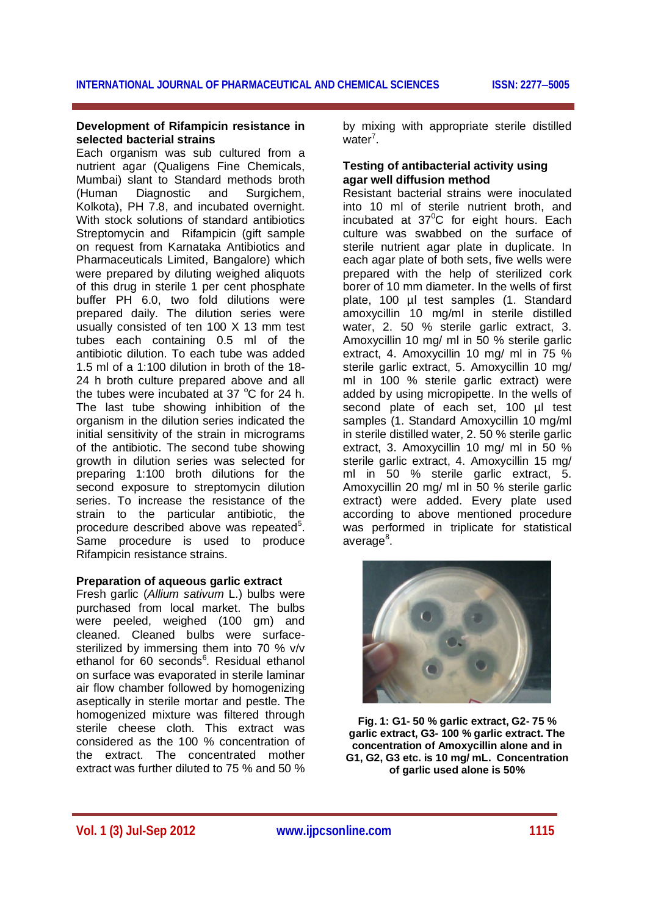#### **Development of Rifampicin resistance in selected bacterial strains**

Each organism was sub cultured from a nutrient agar (Qualigens Fine Chemicals, Mumbai) slant to Standard methods broth (Human Diagnostic and Surgichem, Kolkota), PH 7.8, and incubated overnight. With stock solutions of standard antibiotics Streptomycin and Rifampicin (gift sample on request from Karnataka Antibiotics and Pharmaceuticals Limited, Bangalore) which were prepared by diluting weighed aliquots of this drug in sterile 1 per cent phosphate buffer PH 6.0, two fold dilutions were prepared daily. The dilution series were usually consisted of ten 100 X 13 mm test tubes each containing 0.5 ml of the antibiotic dilution. To each tube was added 1.5 ml of a 1:100 dilution in broth of the 18- 24 h broth culture prepared above and all the tubes were incubated at 37 $\degree$ C for 24 h. The last tube showing inhibition of the organism in the dilution series indicated the initial sensitivity of the strain in micrograms of the antibiotic. The second tube showing growth in dilution series was selected for preparing 1:100 broth dilutions for the second exposure to streptomycin dilution series. To increase the resistance of the strain to the particular antibiotic, the procedure described above was repeated<sup>5</sup>. Same procedure is used to produce Rifampicin resistance strains.

#### **Preparation of aqueous garlic extract**

Fresh garlic (*Allium sativum* L.) bulbs were purchased from local market. The bulbs were peeled, weighed (100 gm) and cleaned. Cleaned bulbs were surfacesterilized by immersing them into 70 % v/v ethanol for 60 seconds<sup>6</sup>. Residual ethanol on surface was evaporated in sterile laminar air flow chamber followed by homogenizing aseptically in sterile mortar and pestle. The homogenized mixture was filtered through sterile cheese cloth. This extract was considered as the 100 % concentration of the extract. The concentrated mother extract was further diluted to 75 % and 50 %

by mixing with appropriate sterile distilled water<sup>7</sup>.

#### **Testing of antibacterial activity using agar well diffusion method**

Resistant bacterial strains were inoculated into 10 ml of sterile nutrient broth, and incubated at  $37^{\circ}$ C for eight hours. Each culture was swabbed on the surface of sterile nutrient agar plate in duplicate. In each agar plate of both sets, five wells were prepared with the help of sterilized cork borer of 10 mm diameter. In the wells of first plate, 100 µl test samples (1. Standard amoxycillin 10 mg/ml in sterile distilled water, 2. 50 % sterile garlic extract, 3. Amoxycillin 10 mg/ ml in 50 % sterile garlic extract, 4. Amoxycillin 10 mg/ ml in 75 % sterile garlic extract, 5. Amoxycillin 10 mg/ ml in 100 % sterile garlic extract) were added by using micropipette. In the wells of second plate of each set, 100 µl test samples (1. Standard Amoxycillin 10 mg/ml in sterile distilled water, 2. 50 % sterile garlic extract, 3. Amoxycillin 10 mg/ ml in 50 % sterile garlic extract, 4. Amoxycillin 15 mg/ ml in 50 % sterile garlic extract, 5. Amoxycillin 20 mg/ ml in 50 % sterile garlic extract) were added. Every plate used according to above mentioned procedure was performed in triplicate for statistical average<sup>8</sup>.



**Fig. 1: G1- 50 % garlic extract, G2- 75 % garlic extract, G3- 100 % garlic extract. The concentration of Amoxycillin alone and in G1, G2, G3 etc. is 10 mg/ mL. Concentration of garlic used alone is 50%**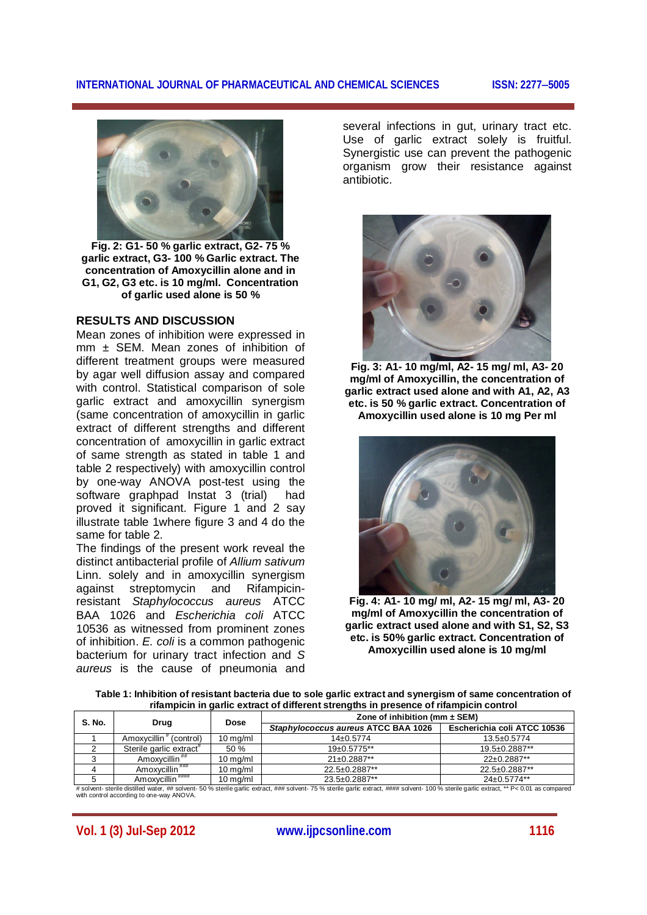#### **INTERNATIONAL JOURNAL OF PHARMACEUTICAL AND CHEMICAL SCIENCES ISSN: 22775005**



**Fig. 2: G1- 50 % garlic extract, G2- 75 % garlic extract, G3- 100 % Garlic extract. The concentration of Amoxycillin alone and in G1, G2, G3 etc. is 10 mg/ml. Concentration of garlic used alone is 50 %**

#### **RESULTS AND DISCUSSION**

Mean zones of inhibition were expressed in  $mm \pm$  SEM. Mean zones of inhibition of different treatment groups were measured by agar well diffusion assay and compared with control. Statistical comparison of sole garlic extract and amoxycillin synergism (same concentration of amoxycillin in garlic extract of different strengths and different concentration of amoxycillin in garlic extract of same strength as stated in table 1 and table 2 respectively) with amoxycillin control by one-way ANOVA post-test using the software graphpad Instat 3 (trial) had proved it significant. Figure 1 and 2 say illustrate table 1where figure 3 and 4 do the same for table 2.

The findings of the present work reveal the distinct antibacterial profile of *Allium sativum*  Linn. solely and in amoxycillin synergism against streptomycin resistant *Staphylococcus aureus* ATCC BAA 1026 and *Escherichia coli* ATCC 10536 as witnessed from prominent zones of inhibition. *E. coli* is a common pathogenic bacterium for urinary tract infection and *S aureus* is the cause of pneumonia and several infections in gut, urinary tract etc. Use of garlic extract solely is fruitful. Synergistic use can prevent the pathogenic organism grow their resistance against antibiotic.



**Fig. 3: A1- 10 mg/ml, A2- 15 mg/ ml, A3- 20 mg/ml of Amoxycillin, the concentration of garlic extract used alone and with A1, A2, A3 etc. is 50 % garlic extract. Concentration of Amoxycillin used alone is 10 mg Per ml**



**Fig. 4: A1- 10 mg/ ml, A2- 15 mg/ ml, A3- 20 mg/ml of Amoxycillin the concentration of garlic extract used alone and with S1, S2, S3 etc. is 50% garlic extract. Concentration of Amoxycillin used alone is 10 mg/ml**

**Table 1: Inhibition of resistant bacteria due to sole garlic extract and synergism of same concentration of rifampicin in garlic extract of different strengths in presence of rifampicin control**

| <b>S. No.</b> | Drug                                  | Dose               | Zone of inhibition (mm $\pm$ SEM)   |                             |
|---------------|---------------------------------------|--------------------|-------------------------------------|-----------------------------|
|               |                                       |                    | Staphylococcus aureus ATCC BAA 1026 | Escherichia coli ATCC 10536 |
|               | Amoxycillin <sup>#</sup><br>(control) | $10$ mg/ml         | $14+0.5774$                         | $13.5 \pm 0.5774$           |
|               | Sterile garlic extract <sup>#</sup>   | 50%                | $19+0.5775**$                       | 19.5±0.2887**               |
|               | Amoxvcillin "#                        | $10 \text{ mg/ml}$ | $21 \pm 0.2887**$                   | 22±0.2887**                 |
|               | Amoxycillin """                       | $10$ mg/ml         | 22.5±0.2887**                       | 22.5±0.2887**               |
|               | Amoxycillin <sup>####</sup>           | 10 mg/ml           | 23.5±0.2887**                       | $24\pm0.5774**$             |

# solvent- sterile distilled water, ## solvent- 50 % sterile garlic extract, ### solvent- 75 % sterile garlic extract, #### solvent- 100 % sterile garlic extract, \*\* P< 0.01 as compared with control according to one-way ANOVA.

**Vol. 1 (3) Jul-Sep 2012 www.ijpcsonline.com 1116**